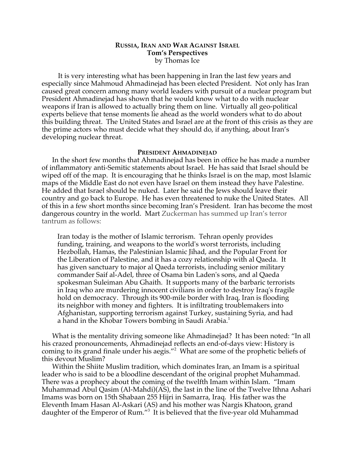# **RUSSIA, IRAN AND WAR AGAINST ISRAEL Tom's Perspectives** by Thomas Ice

It is very interesting what has been happening in Iran the last few years and especially since Mahmoud Ahmadinejad has been elected President. Not only has Iran caused great concern among many world leaders with pursuit of a nuclear program but President Ahmadinejad has shown that he would know what to do with nuclear weapons if Iran is allowed to actually bring them on line. Virtually all geo-political experts believe that tense moments lie ahead as the world wonders what to do about this building threat. The United States and Israel are at the front of this crisis as they are the prime actors who must decide what they should do, if anything, about Iran's developing nuclear threat.

#### **PRESIDENT AHMADINEJAD**

In the short few months that Ahmadinejad has been in office he has made a number of inflammatory anti-Semitic statements about Israel. He has said that Israel should be wiped off of the map. It is encouraging that he thinks Israel is on the map, most Islamic maps of the Middle East do not even have Israel on them instead they have Palestine. He added that Israel should be nuked. Later he said the Jews should leave their country and go back to Europe. He has even threatened to nuke the United States. All of this in a few short months since becoming Iran's President. Iran has become the most dangerous country in the world. Mart Zuckerman has summed up Iran's terror tantrum as follows:

Iran today is the mother of Islamic terrorism. Tehran openly provides funding, training, and weapons to the world's worst terrorists, including Hezbollah, Hamas, the Palestinian Islamic Jihad, and the Popular Front for the Liberation of Palestine, and it has a cozy relationship with al Qaeda. It has given sanctuary to major al Qaeda terrorists, including senior military commander Saif al-Adel, three of Osama bin Laden's sons, and al Qaeda spokesman Suleiman Abu Ghaith. It supports many of the barbaric terrorists in Iraq who are murdering innocent civilians in order to destroy Iraq's fragile hold on democracy. Through its 900-mile border with Iraq, Iran is flooding its neighbor with money and fighters. It is infiltrating troublemakers into Afghanistan, supporting terrorism against Turkey, sustaining Syria, and had a hand in the Khobar Towers bombing in Saudi Arabia.<sup>1</sup>

What is the mentality driving someone like Ahmadinejad? It has been noted: "In all his crazed pronouncements, Ahmadinejad reflects an end-of-days view: History is coming to its grand finale under his aegis."<sup>2</sup> What are some of the prophetic beliefs of this devout Muslim?

Within the Shiite Muslim tradition, which dominates Iran, an Imam is a spiritual leader who is said to be a bloodline descendant of the original prophet Muhammad. There was a prophecy about the coming of the twelfth Imam within Islam. "Imam Muhammad Abul Qasim (Al-Mahdi)(AS), the last in the line of the Twelve Ithna Ashari Imams was born on 15th Shabaan 255 Hijri in Samarra, Iraq. His father was the Eleventh Imam Hasan Al-Askari (AS) and his mother was Nargis Khatoon, grand daughter of the Emperor of Rum."<sup>3</sup> It is believed that the five-year old Muhammad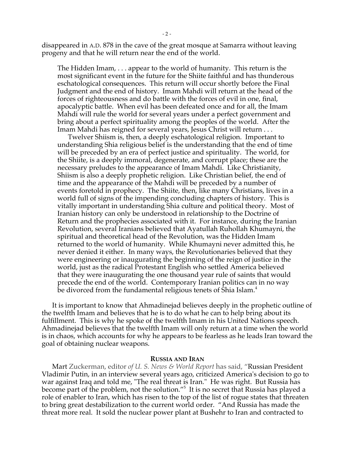disappeared in A.D. 878 in the cave of the great mosque at Samarra without leaving progeny and that he will return near the end of the world.

The Hidden Imam, . . . appear to the world of humanity. This return is the most significant event in the future for the Shiite faithful and has thunderous eschatological consequences. This return will occur shortly before the Final Judgment and the end of history. Imam Mahdi will return at the head of the forces of righteousness and do battle with the forces of evil in one, final, apocalyptic battle. When evil has been defeated once and for all, the Imam Mahdi will rule the world for several years under a perfect government and bring about a perfect spirituality among the peoples of the world. After the Imam Mahdi has reigned for several years, Jesus Christ will return . . .

Twelver Shiism is, then, a deeply eschatological religion. Important to understanding Shia religious belief is the understanding that the end of time will be preceded by an era of perfect justice and spirituality. The world, for the Shiite, is a deeply immoral, degenerate, and corrupt place; these are the necessary preludes to the appearance of Imam Mahdi. Like Christianity, Shiism is also a deeply prophetic religion. Like Christian belief, the end of time and the appearance of the Mahdi will be preceded by a number of events foretold in prophecy. The Shiite, then, like many Christians, lives in a world full of signs of the impending concluding chapters of history. This is vitally important in understanding Shia culture and political theory. Most of Iranian history can only be understood in relationship to the Doctrine of Return and the prophecies associated with it. For instance, during the Iranian Revolution, several Iranians believed that Ayatullah Ruhollah Khumayni, the spiritual and theoretical head of the Revolution, was the Hidden Imam returned to the world of humanity. While Khumayni never admitted this, he never denied it either. In many ways, the Revolutionaries believed that they were engineering or inaugurating the beginning of the reign of justice in the world, just as the radical Protestant English who settled America believed that they were inaugurating the one thousand year rule of saints that would precede the end of the world. Contemporary Iranian politics can in no way be divorced from the fundamental religious tenets of Shia Islam.<sup>4</sup>

It is important to know that Ahmadinejad believes deeply in the prophetic outline of the twelfth Imam and believes that he is to do what he can to help bring about its fulfillment. This is why he spoke of the twelfth Imam in his United Nations speech. Ahmadinejad believes that the twelfth Imam will only return at a time when the world is in chaos, which accounts for why he appears to be fearless as he leads Iran toward the goal of obtaining nuclear weapons.

### **RUSSIA AND IRAN**

Mart Zuckerman, editor *of U. S. News & World Report* has said, "Russian President Vladimir Putin, in an interview several years ago, criticized America's decision to go to war against Iraq and told me, "The real threat is Iran." He was right. But Russia has become part of the problem, not the solution."5 It is no secret that Russia has played a role of enabler to Iran, which has risen to the top of the list of rogue states that threaten to bring great destabilization to the current world order. "And Russia has made the threat more real. It sold the nuclear power plant at Bushehr to Iran and contracted to